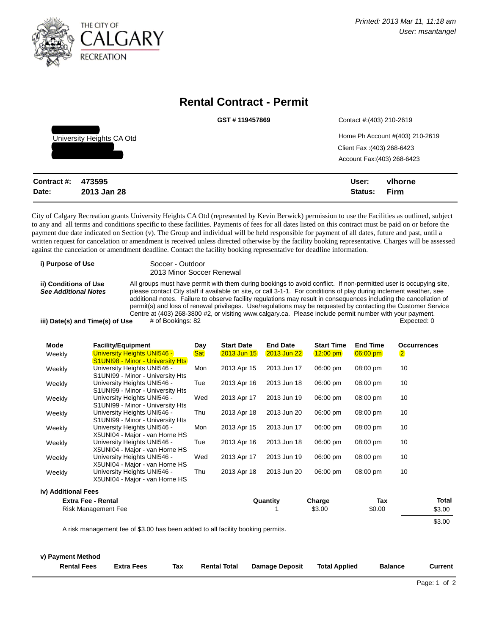

## **Rental Contract - Permit**

|                           | GST#119457869 | Contact #: (403) 210-2619       |
|---------------------------|---------------|---------------------------------|
| University Heights CA Otd |               | Home Ph Account #(403) 210-2619 |
|                           |               | Client Fax: (403) 268-6423      |
|                           |               | Account Fax: (403) 268-6423     |
|                           |               |                                 |
| 473595<br>าntract #∙      |               | vlhorne<br>l Isar-              |

| Contract #: 473595 |             | User:   | vlhorne |
|--------------------|-------------|---------|---------|
| Date:              | 2013 Jan 28 | Status: | – Firm  |

City of Calgary Recreation grants University Heights CA Otd (represented by Kevin Berwick) permission to use the Facilities as outlined, subject to any and all terms and conditions specific to these facilities. Payments of fees for all dates listed on this contract must be paid on or before the payment due date indicated on Section (v). The Group and individual will be held responsible for payment of all dates, future and past, until a written request for cancelation or amendment is received unless directed otherwise by the facility booking representative. Charges will be assessed against the cancelation or amendment deadline. Contact the facility booking representative for deadline information.

| i) Purpose of Use                                    | Soccer - Outdoor                                                                                                                                                                                                                                                                                                                                                                                                                                                                                                                                                                            |  |
|------------------------------------------------------|---------------------------------------------------------------------------------------------------------------------------------------------------------------------------------------------------------------------------------------------------------------------------------------------------------------------------------------------------------------------------------------------------------------------------------------------------------------------------------------------------------------------------------------------------------------------------------------------|--|
|                                                      | 2013 Minor Soccer Renewal                                                                                                                                                                                                                                                                                                                                                                                                                                                                                                                                                                   |  |
| ii) Conditions of Use<br><b>See Additional Notes</b> | All groups must have permit with them during bookings to avoid conflict. If non-permitted user is occupying site,<br>please contact City staff if available on site, or call 3-1-1. For conditions of play during inclement weather, see<br>additional notes. Failure to observe facility regulations may result in consequences including the cancellation of<br>permit(s) and loss of renewal privileges. Use/regulations may be requested by contacting the Customer Service<br>Centre at (403) 268-3800 #2, or visiting www.calgary.ca. Please include permit number with your payment. |  |
|                                                      |                                                                                                                                                                                                                                                                                                                                                                                                                                                                                                                                                                                             |  |
| iii) Date(s) and Time(s) of Use                      | # of Bookings: 82<br>Expected: 0                                                                                                                                                                                                                                                                                                                                                                                                                                                                                                                                                            |  |

| Mode   | <b>Facility/Equipment</b>                                       | Day        | <b>Start Date</b>  | <b>End Date</b>    | <b>Start Time</b> | <b>End Time</b>    | <b>Occurrences</b> |
|--------|-----------------------------------------------------------------|------------|--------------------|--------------------|-------------------|--------------------|--------------------|
| Weekly | University Heights UNI546 -                                     | <b>Sat</b> | <b>2013 Jun 15</b> | <b>2013 Jun 22</b> | $12:00$ pm        | $06:00$ pm         | $\overline{2}$     |
|        | <b>S1UNI98 - Minor - University Hts</b>                         |            |                    |                    |                   |                    |                    |
| Weekly | University Heights UNI546 -                                     | Mon        | 2013 Apr 15        | 2013 Jun 17        | 06:00 pm          | $08:00 \text{ pm}$ | 10                 |
|        | S1UNI99 - Minor - University Hts                                |            |                    |                    |                   |                    |                    |
| Weekly | University Heights UNI546 -<br>S1UNI99 - Minor - University Hts | Tue        | 2013 Apr 16        | 2013 Jun 18        | 06:00 pm          | 08:00 pm           | 10                 |
|        | University Heights UNI546 -                                     | Wed        | 2013 Apr 17        | 2013 Jun 19        | 06:00 pm          | 08:00 pm           | 10                 |
| Weekly | S1UNI99 - Minor - University Hts                                |            |                    |                    |                   |                    |                    |
| Weekly | University Heights UNI546 -                                     | Thu        | 2013 Apr 18        | 2013 Jun 20        | 06:00 pm          | 08:00 pm           | 10                 |
|        | S1UNI99 - Minor - University Hts                                |            |                    |                    |                   |                    |                    |
| Weekly | University Heights UNI546 -                                     | Mon        | 2013 Apr 15        | 2013 Jun 17        | 06:00 pm          | 08:00 pm           | 10                 |
|        | X5UNI04 - Major - van Horne HS                                  |            |                    |                    |                   |                    |                    |
| Weekly | University Heights UNI546 -                                     | Tue        | 2013 Apr 16        | 2013 Jun 18        | 06:00 pm          | 08:00 pm           | 10                 |
|        | X5UNI04 - Major - van Horne HS                                  |            |                    |                    |                   |                    |                    |
| Weekly | University Heights UNI546 -                                     | Wed        | 2013 Apr 17        | 2013 Jun 19        | 06:00 pm          | 08:00 pm           | 10                 |
|        | X5UNI04 - Major - van Horne HS                                  |            |                    |                    |                   |                    |                    |
| Weekly | University Heights UNI546 -                                     | Thu        | 2013 Apr 18        | 2013 Jun 20        | 06:00 pm          | 08:00 pm           | 10                 |
|        | X5UNI04 - Major - van Horne HS                                  |            |                    |                    |                   |                    |                    |

**iv) Additional Fees**

| Extra Fee - Rental                                                              | Quantity | Charge | Тах    | Total  |
|---------------------------------------------------------------------------------|----------|--------|--------|--------|
| Risk Management Fee                                                             |          | \$3.00 | \$0.00 | \$3.00 |
|                                                                                 |          |        |        | \$3.00 |
| A risk management fee of \$3.00 has been added to all facility booking permits. |          |        |        |        |

| v) Payment Method  |                   |     |                     |                       |                      |                |         |
|--------------------|-------------------|-----|---------------------|-----------------------|----------------------|----------------|---------|
| <b>Rental Fees</b> | <b>Extra Fees</b> | Tax | <b>Rental Total</b> | <b>Damage Deposit</b> | <b>Total Applied</b> | <b>Balance</b> | Current |